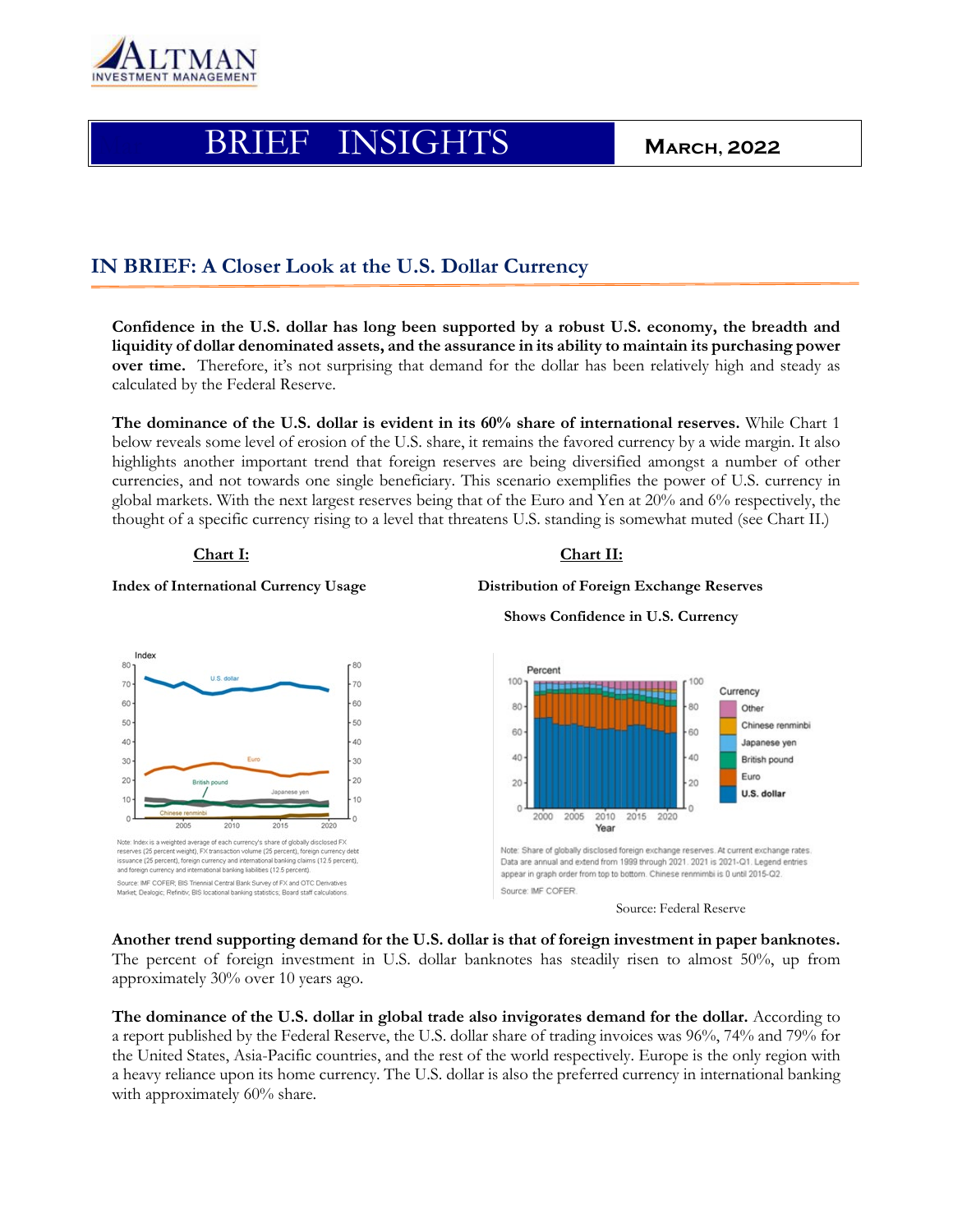

# Mar BRIEF INSIGHTS **March, 2022**

# **IN BRIEF: A Closer Look at the U.S. Dollar Currency**

**Confidence in the U.S. dollar has long been supported by a robust U.S. economy, the breadth and liquidity of dollar denominated assets, and the assurance in its ability to maintain its purchasing power over time.** Therefore, it's not surprising that demand for the dollar has been relatively high and steady as calculated by the Federal Reserve.

**The dominance of the U.S. dollar is evident in its 60% share of international reserves.** While Chart 1 below reveals some level of erosion of the U.S. share, it remains the favored currency by a wide margin. It also highlights another important trend that foreign reserves are being diversified amongst a number of other currencies, and not towards one single beneficiary. This scenario exemplifies the power of U.S. currency in global markets. With the next largest reserves being that of the Euro and Yen at 20% and 6% respectively, the thought of a specific currency rising to a level that threatens U.S. standing is somewhat muted (see Chart II.)

## **Chart I:** Chart II:

### **Index of International Currency Usage Distribution of Foreign Exchange Reserves**



**Shows Confidence in U.S. Currency**





**Another trend supporting demand for the U.S. dollar is that of foreign investment in paper banknotes.**  The percent of foreign investment in U.S. dollar banknotes has steadily risen to almost 50%, up from approximately 30% over 10 years ago.

**The dominance of the U.S. dollar in global trade also invigorates demand for the dollar.** According to a report published by the Federal Reserve, the U.S. dollar share of trading invoices was 96%, 74% and 79% for the United States, Asia-Pacific countries, and the rest of the world respectively. Europe is the only region with a heavy reliance upon its home currency. The U.S. dollar is also the preferred currency in international banking with approximately 60% share.